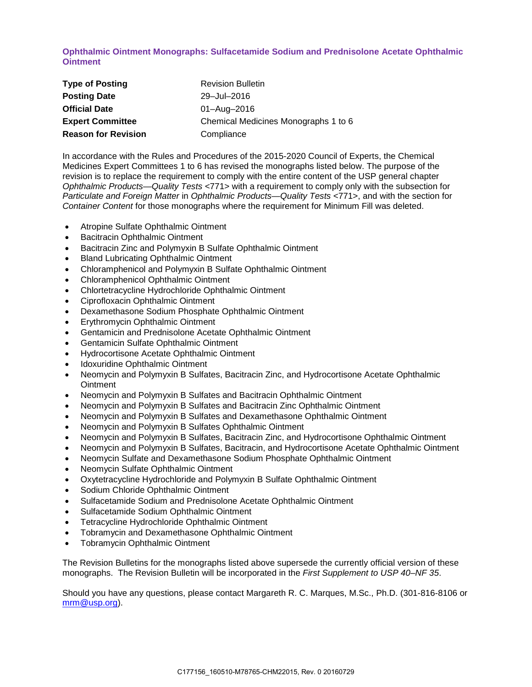**Ophthalmic Ointment Monographs: Sulfacetamide Sodium and Prednisolone Acetate Ophthalmic Ointment**

| <b>Type of Posting</b>     | <b>Revision Bulletin</b>             |
|----------------------------|--------------------------------------|
| <b>Posting Date</b>        | 29-Jul-2016                          |
| <b>Official Date</b>       | 01-Aug-2016                          |
| <b>Expert Committee</b>    | Chemical Medicines Monographs 1 to 6 |
| <b>Reason for Revision</b> | Compliance                           |

In accordance with the Rules and Procedures of the 2015-2020 Council of Experts, the Chemical Medicines Expert Committees 1 to 6 has revised the monographs listed below. The purpose of the revision is to replace the requirement to comply with the entire content of the USP general chapter *Ophthalmic Products—Quality Tests* <771> with a requirement to comply only with the subsection for *Particulate and Foreign Matter* in *Ophthalmic Products—Quality Tests* <771>, and with the section for *Container Content* for those monographs where the requirement for Minimum Fill was deleted.

- Atropine Sulfate Ophthalmic Ointment
- Bacitracin Ophthalmic Ointment
- Bacitracin Zinc and Polymyxin B Sulfate Ophthalmic Ointment
- Bland Lubricating Ophthalmic Ointment
- Chloramphenicol and Polymyxin B Sulfate Ophthalmic Ointment
- Chloramphenicol Ophthalmic Ointment
- Chlortetracycline Hydrochloride Ophthalmic Ointment
- Ciprofloxacin Ophthalmic Ointment
- Dexamethasone Sodium Phosphate Ophthalmic Ointment
- Erythromycin Ophthalmic Ointment
- Gentamicin and Prednisolone Acetate Ophthalmic Ointment
- Gentamicin Sulfate Ophthalmic Ointment
- Hydrocortisone Acetate Ophthalmic Ointment
- Idoxuridine Ophthalmic Ointment
- Neomycin and Polymyxin B Sulfates, Bacitracin Zinc, and Hydrocortisone Acetate Ophthalmic **Ointment**
- Neomycin and Polymyxin B Sulfates and Bacitracin Ophthalmic Ointment
- Neomycin and Polymyxin B Sulfates and Bacitracin Zinc Ophthalmic Ointment
- Neomycin and Polymyxin B Sulfates and Dexamethasone Ophthalmic Ointment
- Neomycin and Polymyxin B Sulfates Ophthalmic Ointment
- Neomycin and Polymyxin B Sulfates, Bacitracin Zinc, and Hydrocortisone Ophthalmic Ointment
- Neomycin and Polymyxin B Sulfates, Bacitracin, and Hydrocortisone Acetate Ophthalmic Ointment
- Neomycin Sulfate and Dexamethasone Sodium Phosphate Ophthalmic Ointment
- Neomycin Sulfate Ophthalmic Ointment
- Oxytetracycline Hydrochloride and Polymyxin B Sulfate Ophthalmic Ointment
- Sodium Chloride Ophthalmic Ointment
- Sulfacetamide Sodium and Prednisolone Acetate Ophthalmic Ointment
- Sulfacetamide Sodium Ophthalmic Ointment
- Tetracycline Hydrochloride Ophthalmic Ointment
- Tobramycin and Dexamethasone Ophthalmic Ointment
- Tobramycin Ophthalmic Ointment

The Revision Bulletins for the monographs listed above supersede the currently official version of these monographs. The Revision Bulletin will be incorporated in the *First Supplement to USP 40–NF 35*.

Should you have any questions, please contact Margareth R. C. Marques, M.Sc., Ph.D. (301-816-8106 or [mrm@usp.org\)](mailto:mrm@usp.org).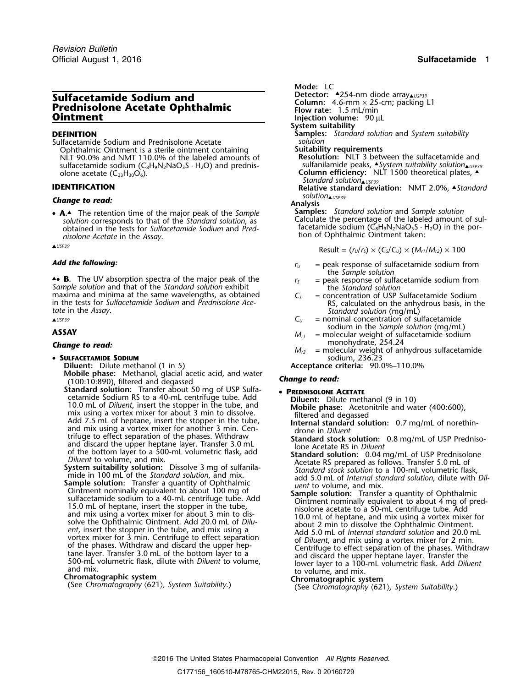# **Sulfacetamide Sodium and Petector:** A.254-nm diode array<br>**Prednisolone Acetate Ophthalmic Flow rate:** 1.5 mL/min<br>**Ointment Flow rate:** 1.5 mL/min **Colument Flow rate:** 1.5 mL/min

Sulfacetamide Sodium and Prednisolone Acetate Ophthalmic Ointment is a sterile ointment containing **Suitability requirements**<br>NLT 90.0% and NMT 110.0% of the labeled amounts of **Resolution:** NLT 3 between the sulfacetamide and NLT 90.0% and NMT 110.0% of the labeled amounts of sulfacetamide sodium (C<sub>8</sub>H<sub>9</sub>N<sub>2</sub>NaO<sub>3</sub>S · H<sub>2</sub>O) and prednis-<br>olone acetate (C<sub>23</sub>H<sub>30</sub>O<sub>6</sub>).

## *solution*▲*USP39 Change to read:* **Analysis**

• **<sup>A</sup>.**▲. The retention time of the major peak of the *Sample* **Samples:** *Standard solution* and *Sample solution* Calculate the percentage of the labeled amount of sul- *solution* corresponds to that of the *Standard solution*, as *nisolone Acetate* tion of Ophthalmic Ointment taken: in the *Assay*.

**A B**. The UV absorption spectra of the major peak of the  $r_s$  = peak response of sulfacetamide sodium from Sample solution and that of the Standard solution exhibit<br>maxima and minima at the same wavelengths, as obtained<br> $C_5$  = concentration of USP Sulfacetamide Sodium maxima and minima at the same wavelengths, as obtained  $C_5$ in the tests for *Sulfacetamide Sodium* and *Prednisolone Ace-* RS, calculated on the anhydrous basis, in the *tate* in the *Assay*. *Standard solution* (mg/mL)

• **SULFACETAMIDE SODIUM** sodium, 236.23

**Mobile phase:** Methanol, glacial acetic acid, and water *Change to read:* (100:10:890), filtered and degassed

**Standard solution:** Transfer about 50 mg of USP Sulfa-<br>cetamide Sodium RS to a 40-mL centrifuge tube. Add<br>Diluent: Dilute meth

**Example Solution:** Transfer about 2011 pro P since the set and Biolomic Column RS to a 40-mL centrifuge tube. Add<br>
Thillie methanol (9 in 10)<br>
10.0 mix using a vortex mixer for about 3 min to disolve.<br>
Add 7.5 min centra

- Mode: LC<br>Detector: **4254-nm diode array**
- 

- **Injection volume:** 90 µL
- **System suitability**
- **DEFINITION Samples:** *Standard solution* and *System suitability*
	-
	- olone acetate (C **Column efficiency:** NLT 1500 theoretical plates, ▲. <sup>23</sup>H30O6). *Standard solution*▲*USP39*

**IDENTIFICATION Relative standard deviation:** NMT 2.0%, A Standard **Channel Standard** solution **AUSES** 

facetamide sodium (C<sub>8</sub>H<sub>9</sub>N<sub>2</sub>NaO<sub>3</sub>S · H<sub>2</sub>O) in the por-

$$
\text{Result} = (r_U/r_S) \times (C_S/C_U) \times (M_{r1}/M_{r2}) \times 100
$$

- *Add the following:* **Add the following:** *r***<sub>U</sub>** = peak response of sulfacetamide sodium from the Sample solution
	-
	-
- ▲*USP39 C<sup>U</sup>* = nominal concentration of sulfacetamide
- **ASSAY** sodium in the *Sample solution* (mg/mL)<br>*M<sub>r1</sub>* = molecular weight of sulfacetamide sodium<br>monohydrate, 254.24
- **Change to read: Change to read: Change to read:** *Change* **to read:** *M***<sub>***c2***</sub> = molecular weight of anhydrous sulfacetamide**

**Diluent:** Dilute methanol (1 in 5) **Acceptance criteria:** 90.0%–110.0%

- 
- 
-